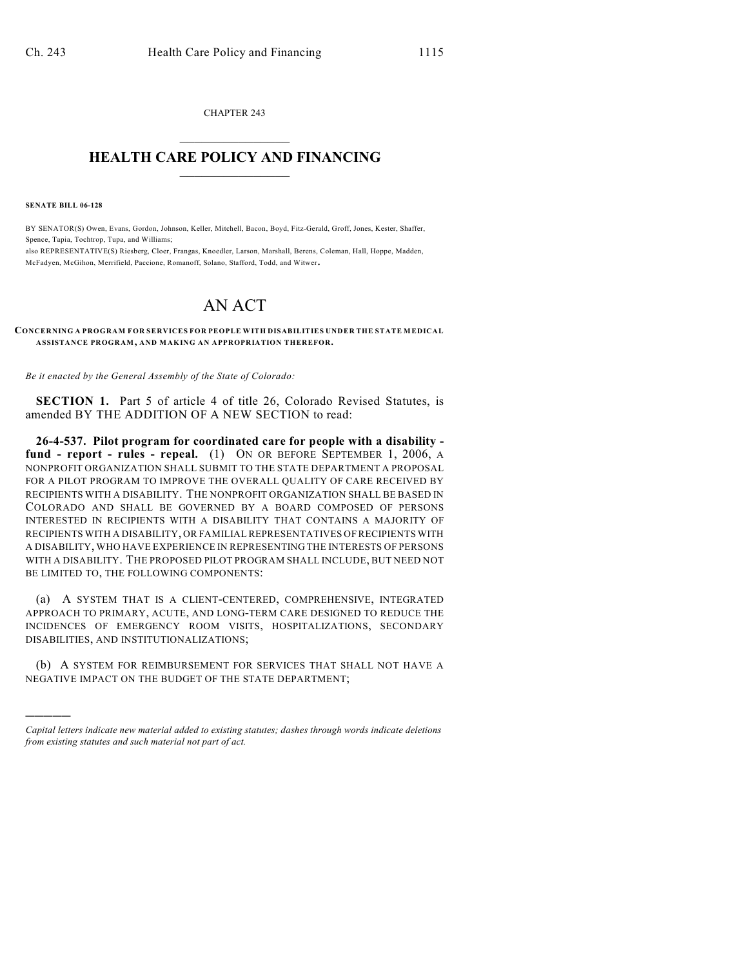CHAPTER 243  $\mathcal{L}_\text{max}$  . The set of the set of the set of the set of the set of the set of the set of the set of the set of the set of the set of the set of the set of the set of the set of the set of the set of the set of the set

## **HEALTH CARE POLICY AND FINANCING**  $\_$   $\_$   $\_$   $\_$   $\_$   $\_$   $\_$   $\_$

**SENATE BILL 06-128**

)))))

BY SENATOR(S) Owen, Evans, Gordon, Johnson, Keller, Mitchell, Bacon, Boyd, Fitz-Gerald, Groff, Jones, Kester, Shaffer, Spence, Tapia, Tochtrop, Tupa, and Williams;

also REPRESENTATIVE(S) Riesberg, Cloer, Frangas, Knoedler, Larson, Marshall, Berens, Coleman, Hall, Hoppe, Madden, McFadyen, McGihon, Merrifield, Paccione, Romanoff, Solano, Stafford, Todd, and Witwer.

## AN ACT

**CONCERNING A PROGRAM FOR SERVICES FOR PEOPLE WITH DISABILITIES UNDER THE STATE MEDICAL ASSISTANCE PROGRAM, AND MAKING AN APPROPRIATION THEREFOR.**

*Be it enacted by the General Assembly of the State of Colorado:*

**SECTION 1.** Part 5 of article 4 of title 26, Colorado Revised Statutes, is amended BY THE ADDITION OF A NEW SECTION to read:

**26-4-537. Pilot program for coordinated care for people with a disability fund - report - rules - repeal.** (1) ON OR BEFORE SEPTEMBER 1, 2006, A NONPROFIT ORGANIZATION SHALL SUBMIT TO THE STATE DEPARTMENT A PROPOSAL FOR A PILOT PROGRAM TO IMPROVE THE OVERALL OUALITY OF CARE RECEIVED BY RECIPIENTS WITH A DISABILITY. THE NONPROFIT ORGANIZATION SHALL BE BASED IN COLORADO AND SHALL BE GOVERNED BY A BOARD COMPOSED OF PERSONS INTERESTED IN RECIPIENTS WITH A DISABILITY THAT CONTAINS A MAJORITY OF RECIPIENTS WITH A DISABILITY, OR FAMILIAL REPRESENTATIVES OF RECIPIENTS WITH A DISABILITY, WHO HAVE EXPERIENCE IN REPRESENTING THE INTERESTS OF PERSONS WITH A DISABILITY. THE PROPOSED PILOT PROGRAM SHALL INCLUDE, BUT NEED NOT BE LIMITED TO, THE FOLLOWING COMPONENTS:

(a) A SYSTEM THAT IS A CLIENT-CENTERED, COMPREHENSIVE, INTEGRATED APPROACH TO PRIMARY, ACUTE, AND LONG-TERM CARE DESIGNED TO REDUCE THE INCIDENCES OF EMERGENCY ROOM VISITS, HOSPITALIZATIONS, SECONDARY DISABILITIES, AND INSTITUTIONALIZATIONS;

(b) A SYSTEM FOR REIMBURSEMENT FOR SERVICES THAT SHALL NOT HAVE A NEGATIVE IMPACT ON THE BUDGET OF THE STATE DEPARTMENT;

*Capital letters indicate new material added to existing statutes; dashes through words indicate deletions from existing statutes and such material not part of act.*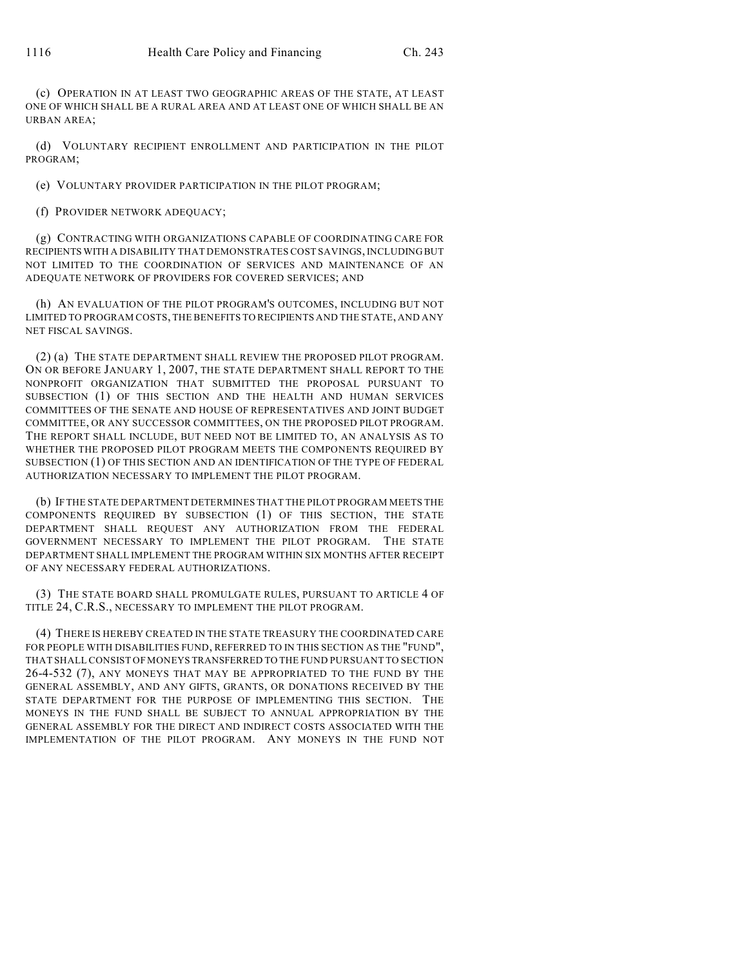(c) OPERATION IN AT LEAST TWO GEOGRAPHIC AREAS OF THE STATE, AT LEAST ONE OF WHICH SHALL BE A RURAL AREA AND AT LEAST ONE OF WHICH SHALL BE AN URBAN AREA;

(d) VOLUNTARY RECIPIENT ENROLLMENT AND PARTICIPATION IN THE PILOT PROGRAM;

(e) VOLUNTARY PROVIDER PARTICIPATION IN THE PILOT PROGRAM;

(f) PROVIDER NETWORK ADEQUACY;

(g) CONTRACTING WITH ORGANIZATIONS CAPABLE OF COORDINATING CARE FOR RECIPIENTS WITH A DISABILITY THAT DEMONSTRATES COST SAVINGS, INCLUDING BUT NOT LIMITED TO THE COORDINATION OF SERVICES AND MAINTENANCE OF AN ADEQUATE NETWORK OF PROVIDERS FOR COVERED SERVICES; AND

(h) AN EVALUATION OF THE PILOT PROGRAM'S OUTCOMES, INCLUDING BUT NOT LIMITED TO PROGRAM COSTS, THE BENEFITS TO RECIPIENTS AND THE STATE, AND ANY NET FISCAL SAVINGS.

(2) (a) THE STATE DEPARTMENT SHALL REVIEW THE PROPOSED PILOT PROGRAM. ON OR BEFORE JANUARY 1, 2007, THE STATE DEPARTMENT SHALL REPORT TO THE NONPROFIT ORGANIZATION THAT SUBMITTED THE PROPOSAL PURSUANT TO SUBSECTION (1) OF THIS SECTION AND THE HEALTH AND HUMAN SERVICES COMMITTEES OF THE SENATE AND HOUSE OF REPRESENTATIVES AND JOINT BUDGET COMMITTEE, OR ANY SUCCESSOR COMMITTEES, ON THE PROPOSED PILOT PROGRAM. THE REPORT SHALL INCLUDE, BUT NEED NOT BE LIMITED TO, AN ANALYSIS AS TO WHETHER THE PROPOSED PILOT PROGRAM MEETS THE COMPONENTS REQUIRED BY SUBSECTION (1) OF THIS SECTION AND AN IDENTIFICATION OF THE TYPE OF FEDERAL AUTHORIZATION NECESSARY TO IMPLEMENT THE PILOT PROGRAM.

(b) IF THE STATE DEPARTMENT DETERMINES THAT THE PILOT PROGRAM MEETS THE COMPONENTS REQUIRED BY SUBSECTION (1) OF THIS SECTION, THE STATE DEPARTMENT SHALL REQUEST ANY AUTHORIZATION FROM THE FEDERAL GOVERNMENT NECESSARY TO IMPLEMENT THE PILOT PROGRAM. THE STATE DEPARTMENT SHALL IMPLEMENT THE PROGRAM WITHIN SIX MONTHS AFTER RECEIPT OF ANY NECESSARY FEDERAL AUTHORIZATIONS.

(3) THE STATE BOARD SHALL PROMULGATE RULES, PURSUANT TO ARTICLE 4 OF TITLE 24, C.R.S., NECESSARY TO IMPLEMENT THE PILOT PROGRAM.

(4) THERE IS HEREBY CREATED IN THE STATE TREASURY THE COORDINATED CARE FOR PEOPLE WITH DISABILITIES FUND, REFERRED TO IN THIS SECTION AS THE "FUND", THAT SHALL CONSIST OF MONEYS TRANSFERRED TO THE FUND PURSUANT TO SECTION 26-4-532 (7), ANY MONEYS THAT MAY BE APPROPRIATED TO THE FUND BY THE GENERAL ASSEMBLY, AND ANY GIFTS, GRANTS, OR DONATIONS RECEIVED BY THE STATE DEPARTMENT FOR THE PURPOSE OF IMPLEMENTING THIS SECTION. THE MONEYS IN THE FUND SHALL BE SUBJECT TO ANNUAL APPROPRIATION BY THE GENERAL ASSEMBLY FOR THE DIRECT AND INDIRECT COSTS ASSOCIATED WITH THE IMPLEMENTATION OF THE PILOT PROGRAM. ANY MONEYS IN THE FUND NOT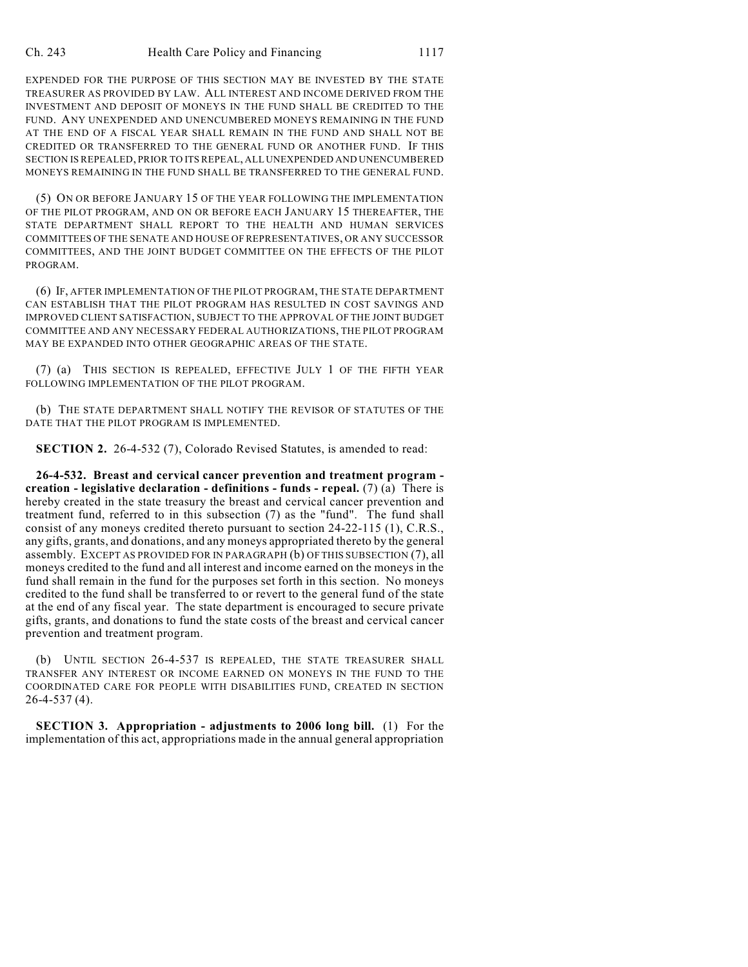EXPENDED FOR THE PURPOSE OF THIS SECTION MAY BE INVESTED BY THE STATE TREASURER AS PROVIDED BY LAW. ALL INTEREST AND INCOME DERIVED FROM THE INVESTMENT AND DEPOSIT OF MONEYS IN THE FUND SHALL BE CREDITED TO THE FUND. ANY UNEXPENDED AND UNENCUMBERED MONEYS REMAINING IN THE FUND AT THE END OF A FISCAL YEAR SHALL REMAIN IN THE FUND AND SHALL NOT BE CREDITED OR TRANSFERRED TO THE GENERAL FUND OR ANOTHER FUND. IF THIS SECTION IS REPEALED, PRIOR TO ITS REPEAL, ALL UNEXPENDED AND UNENCUMBERED MONEYS REMAINING IN THE FUND SHALL BE TRANSFERRED TO THE GENERAL FUND.

(5) ON OR BEFORE JANUARY 15 OF THE YEAR FOLLOWING THE IMPLEMENTATION OF THE PILOT PROGRAM, AND ON OR BEFORE EACH JANUARY 15 THEREAFTER, THE STATE DEPARTMENT SHALL REPORT TO THE HEALTH AND HUMAN SERVICES COMMITTEES OF THE SENATE AND HOUSE OF REPRESENTATIVES, OR ANY SUCCESSOR COMMITTEES, AND THE JOINT BUDGET COMMITTEE ON THE EFFECTS OF THE PILOT PROGRAM.

(6) IF, AFTER IMPLEMENTATION OF THE PILOT PROGRAM, THE STATE DEPARTMENT CAN ESTABLISH THAT THE PILOT PROGRAM HAS RESULTED IN COST SAVINGS AND IMPROVED CLIENT SATISFACTION, SUBJECT TO THE APPROVAL OF THE JOINT BUDGET COMMITTEE AND ANY NECESSARY FEDERAL AUTHORIZATIONS, THE PILOT PROGRAM MAY BE EXPANDED INTO OTHER GEOGRAPHIC AREAS OF THE STATE.

(7) (a) THIS SECTION IS REPEALED, EFFECTIVE JULY 1 OF THE FIFTH YEAR FOLLOWING IMPLEMENTATION OF THE PILOT PROGRAM.

(b) THE STATE DEPARTMENT SHALL NOTIFY THE REVISOR OF STATUTES OF THE DATE THAT THE PILOT PROGRAM IS IMPLEMENTED.

**SECTION 2.** 26-4-532 (7), Colorado Revised Statutes, is amended to read:

**26-4-532. Breast and cervical cancer prevention and treatment program creation - legislative declaration - definitions - funds - repeal.** (7) (a) There is hereby created in the state treasury the breast and cervical cancer prevention and treatment fund, referred to in this subsection (7) as the "fund". The fund shall consist of any moneys credited thereto pursuant to section 24-22-115 (1), C.R.S., any gifts, grants, and donations, and any moneys appropriated thereto by the general assembly. EXCEPT AS PROVIDED FOR IN PARAGRAPH (b) OF THIS SUBSECTION (7), all moneys credited to the fund and all interest and income earned on the moneys in the fund shall remain in the fund for the purposes set forth in this section. No moneys credited to the fund shall be transferred to or revert to the general fund of the state at the end of any fiscal year. The state department is encouraged to secure private gifts, grants, and donations to fund the state costs of the breast and cervical cancer prevention and treatment program.

(b) UNTIL SECTION 26-4-537 IS REPEALED, THE STATE TREASURER SHALL TRANSFER ANY INTEREST OR INCOME EARNED ON MONEYS IN THE FUND TO THE COORDINATED CARE FOR PEOPLE WITH DISABILITIES FUND, CREATED IN SECTION 26-4-537 (4).

**SECTION 3. Appropriation - adjustments to 2006 long bill.** (1) For the implementation of this act, appropriations made in the annual general appropriation